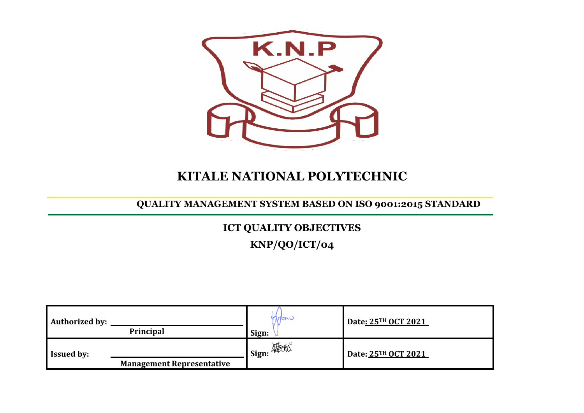

# **KITALE NATIONAL POLYTECHNIC**

### **QUALITY MANAGEMENT SYSTEM BASED ON ISO 9001:2015 STANDARD**

## **ICT QUALITY OBJECTIVES**

**KNP/QO/ICT/04**

| <b>Authorized by:</b> | Principal                        | wan.<br>Sign:       | Date: 25TH OCT 2021 |
|-----------------------|----------------------------------|---------------------|---------------------|
| <b>Issued by:</b>     | <b>Management Representative</b> | _I Sign: <b>彩</b> 版 | Date: 25TH OCT 2021 |